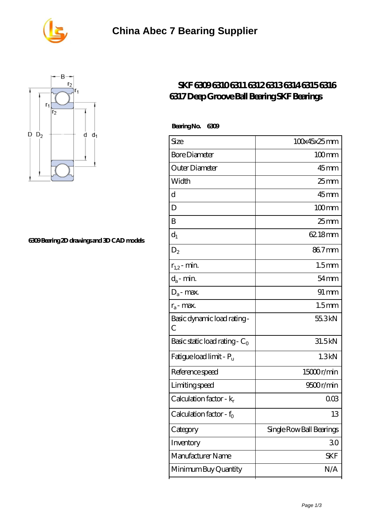



## **[6309 Bearing 2D drawings and 3D CAD models](https://m.seahorse-design.com/pic-560059.html)**

## **[SKF 6309 6310 6311 6312 6313 6314 6315 6316](https://m.seahorse-design.com/skf-6316-bearing/skf-6309-6310-6311-6312-6313-6314-6315-6316-6317-deep-groove-ball-bearing-skf-bearings.html) [6317 Deep Groove Ball Bearing SKF Bearings](https://m.seahorse-design.com/skf-6316-bearing/skf-6309-6310-6311-6312-6313-6314-6315-6316-6317-deep-groove-ball-bearing-skf-bearings.html)**

| Size                             | 100x45x25mm              |
|----------------------------------|--------------------------|
| <b>Bore Diameter</b>             | $100 \text{mm}$          |
| Outer Diameter                   | $45$ mm                  |
| Width                            | $25$ <sub>mm</sub>       |
| d                                | $45$ <sub>mm</sub>       |
| D                                | $100$ mm                 |
| B                                | $25$ mm                  |
| $d_1$                            | 62.18mm                  |
| $D_2$                            | 867mm                    |
| $r_{1,2}$ - min.                 | 1.5 <sub>mm</sub>        |
| $d_{a}$ - min.                   | $54 \text{mm}$           |
| $D_a$ - max.                     | $91 \, \mathrm{mm}$      |
| $r_a$ - max.                     | 1.5 <sub>mm</sub>        |
| Basic dynamic load rating-<br>С  | 55.3kN                   |
| Basic static load rating - $C_0$ | 31.5kN                   |
| Fatigue load limit - Pu          | 1.3kN                    |
| Reference speed                  | 15000r/min               |
| Limiting speed                   | 9500r/min                |
| Calculation factor - $k_r$       | 003                      |
| Calculation factor - $f_0$       | 13                       |
| Category                         | Single Row Ball Bearings |
| Inventory                        | 30                       |
| Manufacturer Name                | <b>SKF</b>               |
| Minimum Buy Quantity             | N/A                      |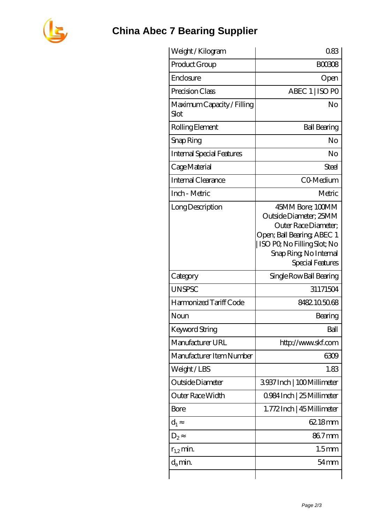

## **[China Abec 7 Bearing Supplier](https://m.seahorse-design.com)**

| Weight/Kilogram                    | 083                                                                                                                                                                                 |
|------------------------------------|-------------------------------------------------------------------------------------------------------------------------------------------------------------------------------------|
| Product Group                      | <b>BOO308</b>                                                                                                                                                                       |
| Enclosure                          | Open                                                                                                                                                                                |
| Precision Class                    | ABEC 1   ISO PO                                                                                                                                                                     |
| Maximum Capacity / Filling<br>Slot | No                                                                                                                                                                                  |
| Rolling Element                    | <b>Ball Bearing</b>                                                                                                                                                                 |
| Snap Ring                          | No                                                                                                                                                                                  |
| <b>Internal Special Features</b>   | No                                                                                                                                                                                  |
| Cage Material                      | <b>Steel</b>                                                                                                                                                                        |
| Internal Clearance                 | CO-Medium                                                                                                                                                                           |
| Inch - Metric                      | Metric                                                                                                                                                                              |
| Long Description                   | 45MM Bore; 100MM<br>Outside Diameter; 25MM<br>Outer Race Diameter;<br>Open; Ball Bearing; ABEC 1<br>ISO PQ No Filling Slot; No<br>Snap Ring, No Internal<br><b>Special Features</b> |
| Category                           | Single Row Ball Bearing                                                                                                                                                             |
| <b>UNSPSC</b>                      | 31171504                                                                                                                                                                            |
| Harmonized Tariff Code             | 8482105068                                                                                                                                                                          |
| Noun                               | Bearing                                                                                                                                                                             |
| <b>Keyword String</b>              | Ball                                                                                                                                                                                |
| Manufacturer URL                   | http://www.skf.com                                                                                                                                                                  |
| Manufacturer Item Number           | 6309                                                                                                                                                                                |
| Weight/LBS                         | 1.83                                                                                                                                                                                |
| Outside Diameter                   | 3937Inch   100Millimeter                                                                                                                                                            |
| Outer Race Width                   | 0.984 Inch   25 Millimeter                                                                                                                                                          |
| Bore                               | 1.772Inch   45 Millimeter                                                                                                                                                           |
| $d_1$                              | 62.18mm                                                                                                                                                                             |
| $D_{2}$                            | 86.7mm                                                                                                                                                                              |
| $r_{1,2}$ min.                     | 1.5 <sub>mm</sub>                                                                                                                                                                   |
| $d_{a}$ min.                       | $54 \text{mm}$                                                                                                                                                                      |
|                                    |                                                                                                                                                                                     |